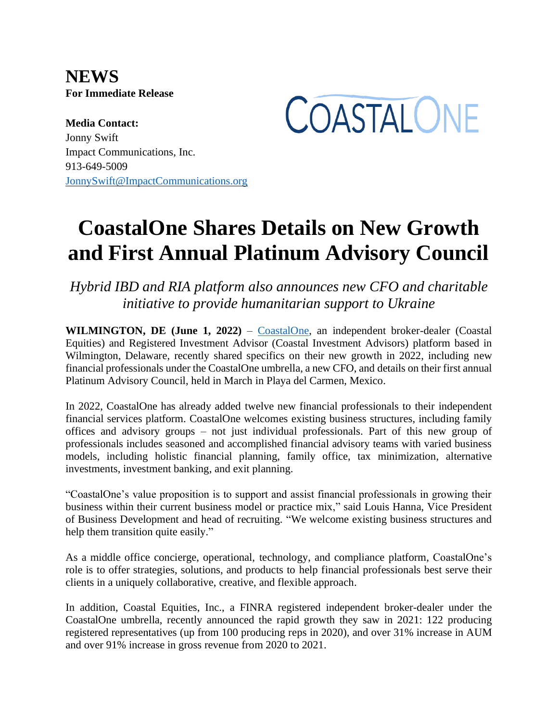**NEWS For Immediate Release**



**Media Contact:** Jonny Swift Impact Communications, Inc. 913-649-5009 [JonnySwift@ImpactCommunications.org](mailto:JonnySwift@ImpactCommunications.org)

# **CoastalOne Shares Details on New Growth and First Annual Platinum Advisory Council**

*Hybrid IBD and RIA platform also announces new CFO and charitable initiative to provide humanitarian support to Ukraine*

**WILMINGTON, DE (June 1, 2022)** – [CoastalOne,](https://coastal-one.com/) an independent broker-dealer (Coastal Equities) and Registered Investment Advisor (Coastal Investment Advisors) platform based in Wilmington, Delaware, recently shared specifics on their new growth in 2022, including new financial professionals under the CoastalOne umbrella, a new CFO, and details on their first annual Platinum Advisory Council, held in March in Playa del Carmen, Mexico.

In 2022, CoastalOne has already added twelve new financial professionals to their independent financial services platform. CoastalOne welcomes existing business structures, including family offices and advisory groups – not just individual professionals. Part of this new group of professionals includes seasoned and accomplished financial advisory teams with varied business models, including holistic financial planning, family office, tax minimization, alternative investments, investment banking, and exit planning.

"CoastalOne's value proposition is to support and assist financial professionals in growing their business within their current business model or practice mix," said Louis Hanna, Vice President of Business Development and head of recruiting. "We welcome existing business structures and help them transition quite easily."

As a middle office concierge, operational, technology, and compliance platform, CoastalOne's role is to offer strategies, solutions, and products to help financial professionals best serve their clients in a uniquely collaborative, creative, and flexible approach.

In addition, Coastal Equities, Inc., a FINRA registered independent broker-dealer under the CoastalOne umbrella, recently announced the rapid growth they saw in 2021: 122 producing registered representatives (up from 100 producing reps in 2020), and over 31% increase in AUM and over 91% increase in gross revenue from 2020 to 2021.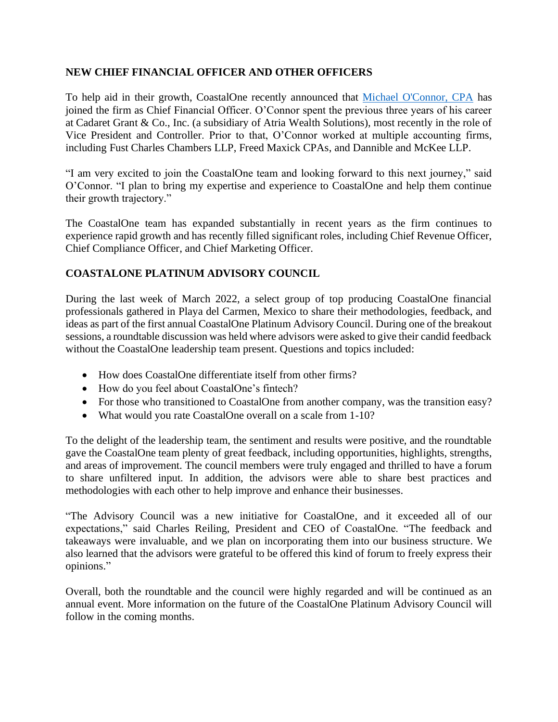## **NEW CHIEF FINANCIAL OFFICER AND OTHER OFFICERS**

To help aid in their growth, CoastalOne recently announced that [Michael O'Connor, CPA](https://www.linkedin.com/in/michael-o-connor-cpa-76a40852/) has joined the firm as Chief Financial Officer. O'Connor spent the previous three years of his career at Cadaret Grant & Co., Inc. (a subsidiary of Atria Wealth Solutions), most recently in the role of Vice President and Controller. Prior to that, O'Connor worked at multiple accounting firms, including Fust Charles Chambers LLP, Freed Maxick CPAs, and Dannible and McKee LLP.

"I am very excited to join the CoastalOne team and looking forward to this next journey," said O'Connor. "I plan to bring my expertise and experience to CoastalOne and help them continue their growth trajectory."

The CoastalOne team has expanded substantially in recent years as the firm continues to experience rapid growth and has recently filled significant roles, including Chief Revenue Officer, Chief Compliance Officer, and Chief Marketing Officer.

## **COASTALONE PLATINUM ADVISORY COUNCIL**

During the last week of March 2022, a select group of top producing CoastalOne financial professionals gathered in Playa del Carmen, Mexico to share their methodologies, feedback, and ideas as part of the first annual CoastalOne Platinum Advisory Council. During one of the breakout sessions, a roundtable discussion was held where advisors were asked to give their candid feedback without the CoastalOne leadership team present. Questions and topics included:

- How does CoastalOne differentiate itself from other firms?
- How do you feel about CoastalOne's fintech?
- For those who transitioned to CoastalOne from another company, was the transition easy?
- What would you rate CoastalOne overall on a scale from 1-10?

To the delight of the leadership team, the sentiment and results were positive, and the roundtable gave the CoastalOne team plenty of great feedback, including opportunities, highlights, strengths, and areas of improvement. The council members were truly engaged and thrilled to have a forum to share unfiltered input. In addition, the advisors were able to share best practices and methodologies with each other to help improve and enhance their businesses.

"The Advisory Council was a new initiative for CoastalOne, and it exceeded all of our expectations," said Charles Reiling, President and CEO of CoastalOne. "The feedback and takeaways were invaluable, and we plan on incorporating them into our business structure. We also learned that the advisors were grateful to be offered this kind of forum to freely express their opinions."

Overall, both the roundtable and the council were highly regarded and will be continued as an annual event. More information on the future of the CoastalOne Platinum Advisory Council will follow in the coming months.